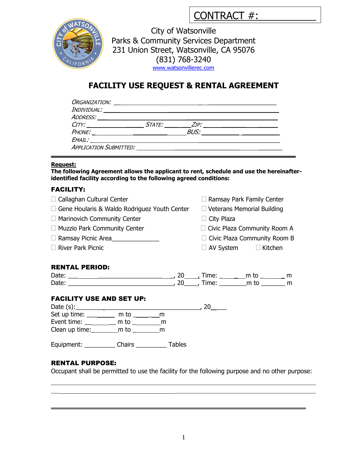| CONTRACT #: |  |
|-------------|--|
|             |  |



City of Watsonville Parks & Community Services Department 231 Union Street, Watsonville, CA 95076 (831) 768-3240 [www.watsonvillerec.com](http://www.ci.watsonville.ca.us/departments/pcs)

# **FACILITY USE REQUEST & RENTAL AGREEMENT**

| ORGANIZATION:                 |               |             |  |
|-------------------------------|---------------|-------------|--|
| INDIVIDUAL:                   |               |             |  |
| ADDRESS:                      |               |             |  |
| CITY:                         | <i>STATE:</i> | ZIP:        |  |
| PHONE:                        |               | <b>BUS:</b> |  |
| EMAIL:                        |               |             |  |
| <b>APPLICATION SUBMITTED:</b> |               |             |  |

#### **Request:**

**The following Agreement allows the applicant to rent, schedule and use the hereinafteridentified facility according to the following agreed conditions:**

### FACILITY:

| $\Box$ Callaghan Cultural Center                                                                 |  |  |                                     | $\Box$ Ramsay Park Family Center  |  |
|--------------------------------------------------------------------------------------------------|--|--|-------------------------------------|-----------------------------------|--|
| $\Box$ Gene Hoularis & Waldo Rodriguez Youth Center                                              |  |  |                                     | $\Box$ Veterans Memorial Building |  |
| $\Box$ Marinovich Community Center                                                               |  |  | $\Box$ City Plaza                   |                                   |  |
| $\Box$ Muzzio Park Community Center                                                              |  |  |                                     | □ Civic Plaza Community Room A    |  |
| □ Ramsay Picnic Area_________________                                                            |  |  | $\Box$ Civic Plaza Community Room B |                                   |  |
| <b>River Park Picnic</b>                                                                         |  |  |                                     | $\Box$ AV System $\Box$ Kitchen   |  |
|                                                                                                  |  |  |                                     |                                   |  |
| <b>RENTAL PERIOD:</b>                                                                            |  |  |                                     |                                   |  |
|                                                                                                  |  |  |                                     |                                   |  |
|                                                                                                  |  |  |                                     |                                   |  |
| <b>FACILITY USE AND SET UP:</b>                                                                  |  |  |                                     |                                   |  |
|                                                                                                  |  |  |                                     |                                   |  |
| Set up time: _________ m to ________ m                                                           |  |  |                                     |                                   |  |
| Event time: ___________ m to __________ m                                                        |  |  |                                     |                                   |  |
| Clean up time: $\begin{array}{ccc} \text{m to} & \text{m} \\ \text{m to} & \text{m} \end{array}$ |  |  |                                     |                                   |  |
| Equipment: _____________ Chairs _____________ Tables                                             |  |  |                                     |                                   |  |

### RENTAL PURPOSE:

Occupant shall be permitted to use the facility for the following purpose and no other purpose:

\_\_\_ \_\_\_\_\_\_\_\_\_\_\_\_\_\_\_\_\_\_\_\_\_\_\_\_\_\_\_\_\_\_\_\_\_\_\_\_\_\_\_\_\_\_\_\_\_\_\_\_\_\_\_\_\_\_\_\_\_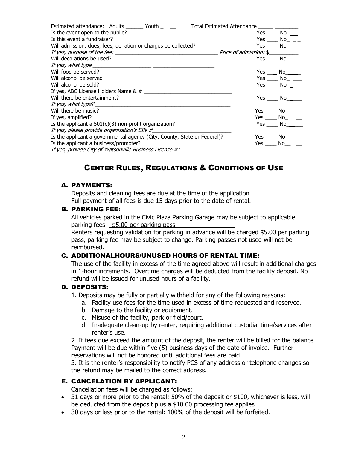| Estimated attendance: Adults Youth                                       | <b>Total Estimated Attendance</b> |                                                                                                                                                                                                                                |
|--------------------------------------------------------------------------|-----------------------------------|--------------------------------------------------------------------------------------------------------------------------------------------------------------------------------------------------------------------------------|
| Is the event open to the public?                                         | Yes                               | No l                                                                                                                                                                                                                           |
| Is this event a fundraiser?                                              | Yes.                              | No l                                                                                                                                                                                                                           |
| Will admission, dues, fees, donation or charges be collected?            | Yes                               | No l                                                                                                                                                                                                                           |
|                                                                          | <i>Price of admission:</i> \$     |                                                                                                                                                                                                                                |
| Will decorations be used?                                                |                                   | No l<br>Yes and the monopolic results and the monopolic results and results are the monopolic results and results are $\sim$                                                                                                   |
| If yes, what type                                                        |                                   |                                                                                                                                                                                                                                |
| Will food be served?                                                     | Yes                               | No.                                                                                                                                                                                                                            |
| Will alcohol be served                                                   |                                   | Yes<br>No l                                                                                                                                                                                                                    |
| Will alcohol be sold?                                                    |                                   | Yes<br>No l                                                                                                                                                                                                                    |
| If yes, ABC License Holders Name & #                                     |                                   |                                                                                                                                                                                                                                |
| Will there be entertainment?                                             |                                   | Yes<br>No.                                                                                                                                                                                                                     |
| If yes, what type?                                                       |                                   |                                                                                                                                                                                                                                |
| Will there be music?                                                     |                                   | Yes<br>No l                                                                                                                                                                                                                    |
| If yes, amplified?                                                       | Yes $\_\_$                        | No l                                                                                                                                                                                                                           |
| Is the applicant a $501(c)(3)$ non-profit organization?                  | Yes                               | No.                                                                                                                                                                                                                            |
| If yes, please provide organization's EIN #                              |                                   |                                                                                                                                                                                                                                |
| Is the applicant a governmental agency (City, County, State or Federal)? |                                   | Yes No                                                                                                                                                                                                                         |
| Is the applicant a business/promoter?                                    | Yes                               | No control of the North State of the North State of the North State of the North State of the North State of the North State of the North State of the North State of the North State of the North State of the North State of |
| If yes, provide City of Watsonville Business License #:                  |                                   |                                                                                                                                                                                                                                |

# CENTER RULES, REGULATIONS & CONDITIONS OF USE

### A. PAYMENTS:

Deposits and cleaning fees are due at the time of the application. Full payment of all fees is due 15 days prior to the date of rental.

### B. PARKING FEE:

All vehicles parked in the Civic Plaza Parking Garage may be subject to applicable parking fees. \$5.00 per parking pass

Renters requesting validation for parking in advance will be charged \$5.00 per parking pass, parking fee may be subject to change. Parking passes not used will not be reimbursed.

### C. ADDITIONALHOURS/UNUSED HOURS OF RENTAL TIME:

The use of the facility in excess of the time agreed above will result in additional charges in 1-hour increments. Overtime charges will be deducted from the facility deposit. No refund will be issued for unused hours of a facility.

#### D. DEPOSITS:

- 1. Deposits may be fully or partially withheld for any of the following reasons:
	- a. Facility use fees for the time used in excess of time requested and reserved.
	- b. Damage to the facility or equipment.
	- c. Misuse of the facility, park or field/court.
	- d. Inadequate clean-up by renter, requiring additional custodial time/services after renter's use.

2. If fees due exceed the amount of the deposit, the renter will be billed for the balance. Payment will be due within five (5) business days of the date of invoice. Further reservations will not be honored until additional fees are paid.

3. It is the renter's responsibility to notify PCS of any address or telephone changes so the refund may be mailed to the correct address.

## E. CANCELATION BY APPLICANT:

Cancellation fees will be charged as follows:

- 31 days or more prior to the rental: 50% of the deposit or \$100, whichever is less, will be deducted from the deposit plus a \$10.00 processing fee applies.
- 30 days or less prior to the rental: 100% of the deposit will be forfeited.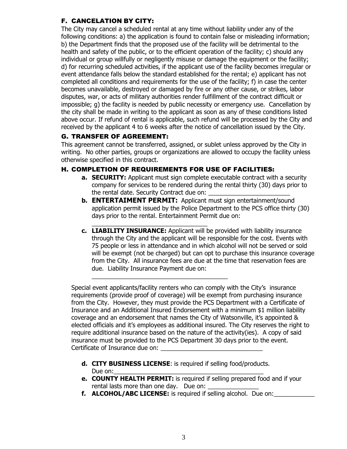## F. CANCELATION BY CITY:

The City may cancel a scheduled rental at any time without liability under any of the following conditions: a) the application is found to contain false or misleading information; b) the Department finds that the proposed use of the facility will be detrimental to the health and safety of the public, or to the efficient operation of the facility; c) should any individual or group willfully or negligently misuse or damage the equipment or the facility; d) for recurring scheduled activities, if the applicant use of the facility becomes irregular or event attendance falls below the standard established for the rental; e) applicant has not completed all conditions and requirements for the use of the facility; f) in case the center becomes unavailable, destroyed or damaged by fire or any other cause, or strikes, labor disputes, war, or acts of military authorities render fulfillment of the contract difficult or impossible; g) the facility is needed by public necessity or emergency use. Cancellation by the city shall be made in writing to the applicant as soon as any of these conditions listed above occur. If refund of rental is applicable, such refund will be processed by the City and received by the applicant 4 to 6 weeks after the notice of cancellation issued by the City.

## G. TRANSFER OF AGREEMENT:

This agreement cannot be transferred, assigned, or sublet unless approved by the City in writing. No other parties, groups or organizations are allowed to occupy the facility unless otherwise specified in this contract.

## H. COMPLETION OF REQUIREMENTS FOR USE OF FACILITIES:

 $\overline{\phantom{a}}$  , and the set of the set of the set of the set of the set of the set of the set of the set of the set of the set of the set of the set of the set of the set of the set of the set of the set of the set of the s

- **a. SECURITY:** Applicant must sign complete executable contract with a security company for services to be rendered during the rental thirty (30) days prior to the rental date. Security Contract due on:
- **b. ENTERTAIMENT PERMIT:** Applicant must sign entertainment/sound application permit issued by the Police Department to the PCS office thirty (30) days prior to the rental. Entertainment Permit due on:
- \_\_\_\_\_\_\_\_\_\_\_\_\_\_\_\_\_\_\_\_\_\_\_\_\_\_\_\_\_\_\_\_\_\_ **c. LIABILITY INSURANCE:** Applicant will be provided with liability insurance through the City and the applicant will be responsible for the cost. Events with 75 people or less in attendance and in which alcohol will not be served or sold will be exempt (not be charged) but can opt to purchase this insurance coverage from the City. All insurance fees are due at the time that reservation fees are due. Liability Insurance Payment due on:

Special event applicants/facility renters who can comply with the City's insurance requirements (provide proof of coverage) will be exempt from purchasing insurance from the City. However, they must provide the PCS Department with a Certificate of Insurance and an Additional Insured Endorsement with a minimum \$1 million liability coverage and an endorsement that names the City of Watsonville, it's appointed & elected officials and it's employees as additional insured. The City reserves the right to require additional insurance based on the nature of the activity(ies). A copy of said insurance must be provided to the PCS Department 30 days prior to the event. Certificate of Insurance due on:

- **d. CITY BUSINESS LICENSE**: is required if selling food/products. Due on:
- **e. COUNTY HEALTH PERMIT:** is required if selling prepared food and if your rental lasts more than one day. Due on:
- **f. ALCOHOL/ABC LICENSE:** is required if selling alcohol. Due on: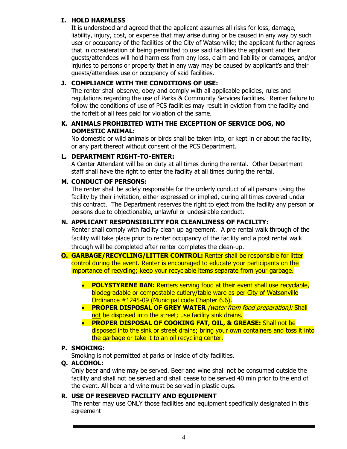## **I. HOLD HARMLESS**

It is understood and agreed that the applicant assumes all risks for loss, damage, liability, injury, cost, or expense that may arise during or be caused in any way by such user or occupancy of the facilities of the City of Watsonville; the applicant further agrees that in consideration of being permitted to use said facilities the applicant and their guests/attendees will hold harmless from any loss, claim and liability or damages, and/or injuries to persons or property that in any way may be caused by applicant's and their guests/attendees use or occupancy of said facilities.

## **J. COMPLIANCE WITH THE CONDITIONS OF USE:**

The renter shall observe, obey and comply with all applicable policies, rules and regulations regarding the use of Parks & Community Services facilities. Renter failure to follow the conditions of use of PCS facilities may result in eviction from the facility and the forfeit of all fees paid for violation of the same.

## **K. ANIMALS PROHIBITED WITH THE EXCEPTION OF SERVICE DOG, NO DOMESTIC ANIMAL:**

No domestic or wild animals or birds shall be taken into, or kept in or about the facility, or any part thereof without consent of the PCS Department.

## **L. DEPARTMENT RIGHT-TO-ENTER:**

A Center Attendant will be on duty at all times during the rental. Other Department staff shall have the right to enter the facility at all times during the rental.

## **M. CONDUCT OF PERSONS:**

The renter shall be solely responsible for the orderly conduct of all persons using the facility by their invitation, either expressed or implied, during all times covered under this contract. The Department reserves the right to eject from the facility any person or persons due to objectionable, unlawful or undesirable conduct.

## **N. APPLICANT RESPONSIBILITY FOR CLEANLINESS OF FACILITY:**

Renter shall comply with facility clean up agreement. A pre rental walk through of the facility will take place prior to renter occupancy of the facility and a post rental walk through will be completed after renter completes the clean-up.

- **O. GARBAGE/RECYCLING/LITTER CONTROL:** Renter shall be responsible for litter control during the event. Renter is encouraged to educate your participants on the importance of recycling; keep your recyclable items separate from your garbage.
	- **POLYSTYRENE BAN:** Renters serving food at their event shall use recyclable, biodegradable or compostable cutlery/table ware as per City of Watsonville Ordinance #1245-09 (Municipal code Chapter 6.6).
	- **PROPER DISPOSAL OF GREY WATER** (water from food preparation): Shall not be disposed into the street; use facility sink drains.
	- **PROPER DISPOSAL OF COOKING FAT, OIL, & GREASE:** Shall not be disposed into the sink or street drains; bring your own containers and toss it into the garbage or take it to an oil recycling center.

### **P. SMOKING:**

Smoking is not permitted at parks or inside of city facilities.

### **Q. ALCOHOL:**

Only beer and wine may be served. Beer and wine shall not be consumed outside the facility and shall not be served and shall cease to be served 40 min prior to the end of the event. All beer and wine must be served in plastic cups.

## **R. USE OF RESERVED FACILITY AND EQUIPMENT**

The renter may use ONLY those facilities and equipment specifically designated in this agreement